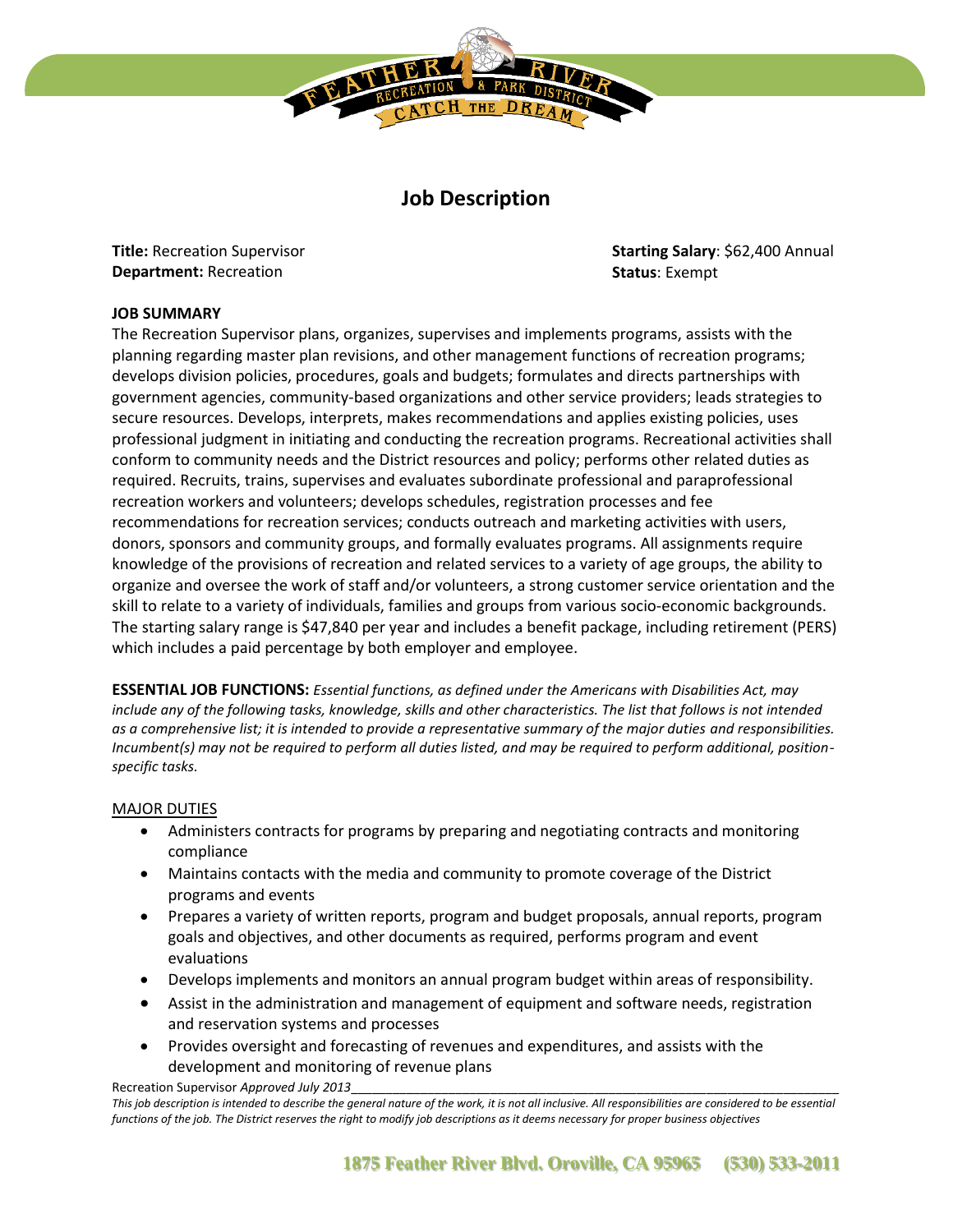

# **Job Description**

**Title:** Recreation Supervisor **Department:** Recreation

**Starting Salary**: \$62,400 Annual **Status**: Exempt

## **JOB SUMMARY**

The Recreation Supervisor plans, organizes, supervises and implements programs, assists with the planning regarding master plan revisions, and other management functions of recreation programs; develops division policies, procedures, goals and budgets; formulates and directs partnerships with government agencies, community-based organizations and other service providers; leads strategies to secure resources. Develops, interprets, makes recommendations and applies existing policies, uses professional judgment in initiating and conducting the recreation programs. Recreational activities shall conform to community needs and the District resources and policy; performs other related duties as required. Recruits, trains, supervises and evaluates subordinate professional and paraprofessional recreation workers and volunteers; develops schedules, registration processes and fee recommendations for recreation services; conducts outreach and marketing activities with users, donors, sponsors and community groups, and formally evaluates programs. All assignments require knowledge of the provisions of recreation and related services to a variety of age groups, the ability to organize and oversee the work of staff and/or volunteers, a strong customer service orientation and the skill to relate to a variety of individuals, families and groups from various socio-economic backgrounds. The starting salary range is \$47,840 per year and includes a benefit package, including retirement (PERS) which includes a paid percentage by both employer and employee.

**ESSENTIAL JOB FUNCTIONS:** *Essential functions, as defined under the Americans with Disabilities Act, may include any of the following tasks, knowledge, skills and other characteristics. The list that follows is not intended as a comprehensive list; it is intended to provide a representative summary of the major duties and responsibilities. Incumbent(s) may not be required to perform all duties listed, and may be required to perform additional, positionspecific tasks.* 

#### MAJOR DUTIES

- Administers contracts for programs by preparing and negotiating contracts and monitoring compliance
- Maintains contacts with the media and community to promote coverage of the District programs and events
- Prepares a variety of written reports, program and budget proposals, annual reports, program goals and objectives, and other documents as required, performs program and event evaluations
- Develops implements and monitors an annual program budget within areas of responsibility.
- Assist in the administration and management of equipment and software needs, registration and reservation systems and processes
- Provides oversight and forecasting of revenues and expenditures, and assists with the development and monitoring of revenue plans

Recreation Supervisor *Approved July 2013* 

*This job description is intended to describe the general nature of the work, it is not all inclusive. All responsibilities are considered to be essential functions of the job. The District reserves the right to modify job descriptions as it deems necessary for proper business objectives*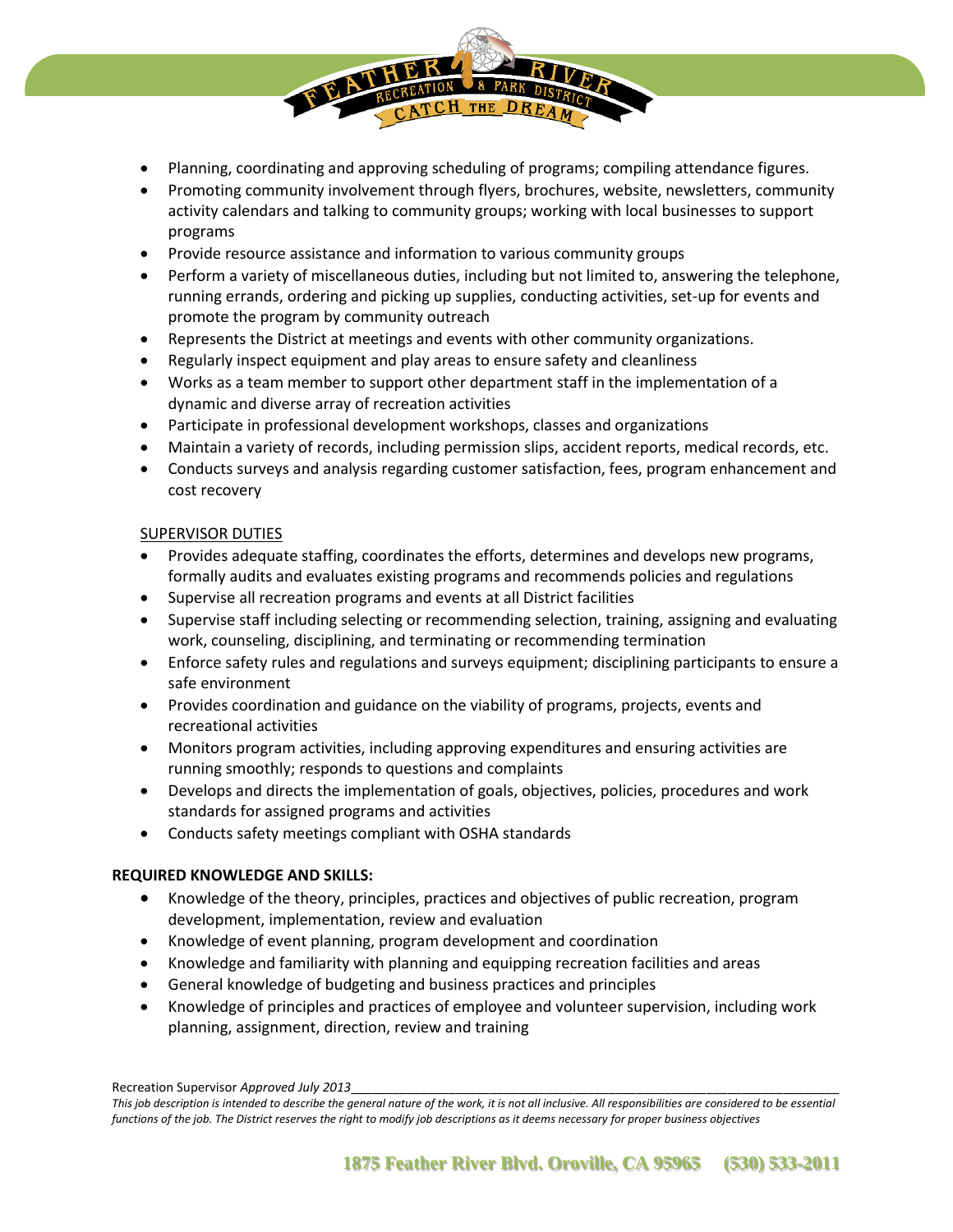- Planning, coordinating and approving scheduling of programs; compiling attendance figures.
- Promoting community involvement through flyers, brochures, website, newsletters, community activity calendars and talking to community groups; working with local businesses to support programs
- Provide resource assistance and information to various community groups
- Perform a variety of miscellaneous duties, including but not limited to, answering the telephone, running errands, ordering and picking up supplies, conducting activities, set-up for events and promote the program by community outreach
- Represents the District at meetings and events with other community organizations.
- Regularly inspect equipment and play areas to ensure safety and cleanliness
- Works as a team member to support other department staff in the implementation of a dynamic and diverse array of recreation activities
- Participate in professional development workshops, classes and organizations
- Maintain a variety of records, including permission slips, accident reports, medical records, etc.
- Conducts surveys and analysis regarding customer satisfaction, fees, program enhancement and cost recovery

### SUPERVISOR DUTIES

- Provides adequate staffing, coordinates the efforts, determines and develops new programs, formally audits and evaluates existing programs and recommends policies and regulations
- Supervise all recreation programs and events at all District facilities
- Supervise staff including selecting or recommending selection, training, assigning and evaluating work, counseling, disciplining, and terminating or recommending termination
- Enforce safety rules and regulations and surveys equipment; disciplining participants to ensure a safe environment
- Provides coordination and guidance on the viability of programs, projects, events and recreational activities
- Monitors program activities, including approving expenditures and ensuring activities are running smoothly; responds to questions and complaints
- Develops and directs the implementation of goals, objectives, policies, procedures and work standards for assigned programs and activities
- Conducts safety meetings compliant with OSHA standards

## **REQUIRED KNOWLEDGE AND SKILLS:**

- Knowledge of the theory, principles, practices and objectives of public recreation, program development, implementation, review and evaluation
- Knowledge of event planning, program development and coordination
- Knowledge and familiarity with planning and equipping recreation facilities and areas
- General knowledge of budgeting and business practices and principles
- Knowledge of principles and practices of employee and volunteer supervision, including work planning, assignment, direction, review and training

Recreation Supervisor *Approved July 2013* 

*This job description is intended to describe the general nature of the work, it is not all inclusive. All responsibilities are considered to be essential functions of the job. The District reserves the right to modify job descriptions as it deems necessary for proper business objectives*